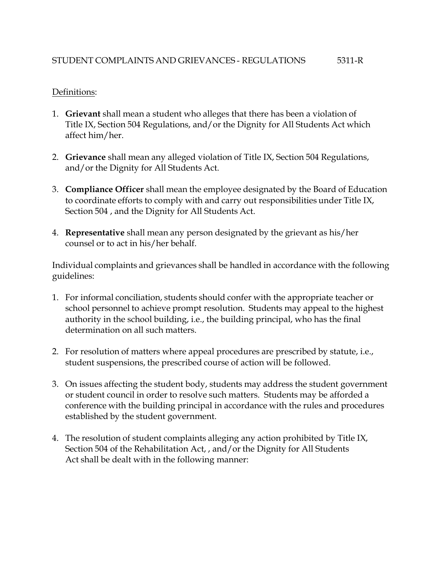### Definitions:

- 1. **Grievant** shall mean a student who alleges that there has been a violation of Title IX, Section 504 Regulations, and/or the Dignity for All Students Act which affect him/her.
- 2. **Grievance** shall mean any alleged violation of Title IX, Section 504 Regulations, and/or the Dignity for All Students Act.
- 3. **Compliance Officer** shall mean the employee designated by the Board of Education to coordinate efforts to comply with and carry out responsibilities under Title IX, Section 504 , and the Dignity for All Students Act.
- 4. **Representative** shall mean any person designated by the grievant as his/her counsel or to act in his/her behalf.

Individual complaints and grievances shall be handled in accordance with the following guidelines:

- 1. For informal conciliation, students should confer with the appropriate teacher or school personnel to achieve prompt resolution. Students may appeal to the highest authority in the school building, i.e., the building principal, who has the final determination on all such matters.
- 2. For resolution of matters where appeal procedures are prescribed by statute, i.e., student suspensions, the prescribed course of action will be followed.
- 3. On issues affecting the student body, students may address the student government or student council in order to resolve such matters. Students may be afforded a conference with the building principal in accordance with the rules and procedures established by the student government.
- 4. The resolution of student complaints alleging any action prohibited by Title IX, Section 504 of the Rehabilitation Act, , and/or the Dignity for All Students Act shall be dealt with in the following manner: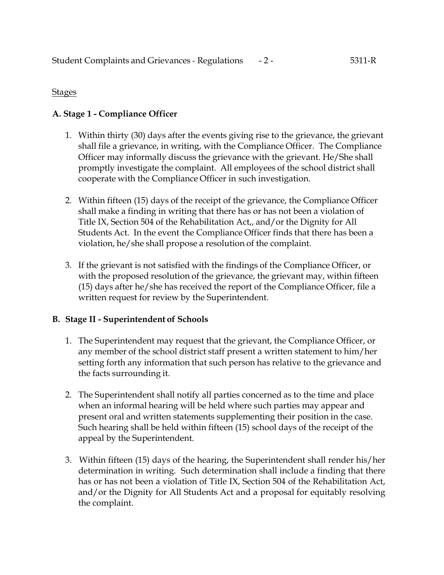### Stages

# **A. Stage 1 - Compliance Officer**

- 1. Within thirty (30) days after the events giving rise to the grievance, the grievant shall file a grievance, in writing, with the Compliance Officer. The Compliance Officer may informally discuss the grievance with the grievant. He/She shall promptly investigate the complaint. All employees of the school district shall cooperate with the Compliance Officer in such investigation.
- 2. Within fifteen (15) days of the receipt of the grievance, the Compliance Officer shall make a finding in writing that there has or has not been a violation of Title IX, Section 504 of the Rehabilitation Act,, and/or the Dignity for All Students Act. In the event the Compliance Officer finds that there has been a violation, he/she shall propose a resolution of the complaint.
- 3. If the grievant is not satisfied with the findings of the Compliance Officer, or with the proposed resolution of the grievance, the grievant may, within fifteen (15) days after he/she has received the report of the Compliance Officer, file a written request for review by the Superintendent.

## **B. Stage II - Superintendent of Schools**

- 1. The Superintendent may request that the grievant, the Compliance Officer, or any member of the school district staff present a written statement to him/her setting forth any information that such person has relative to the grievance and the facts surrounding it.
- 2. The Superintendent shall notify all parties concerned as to the time and place when an informal hearing will be held where such parties may appear and present oral and written statements supplementing their position in the case. Such hearing shall be held within fifteen (15) school days of the receipt of the appeal by the Superintendent.
- 3. Within fifteen (15) days of the hearing, the Superintendent shall render his/her determination in writing. Such determination shall include a finding that there has or has not been a violation of Title IX, Section 504 of the Rehabilitation Act, and/or the Dignity for All Students Act and a proposal for equitably resolving the complaint.